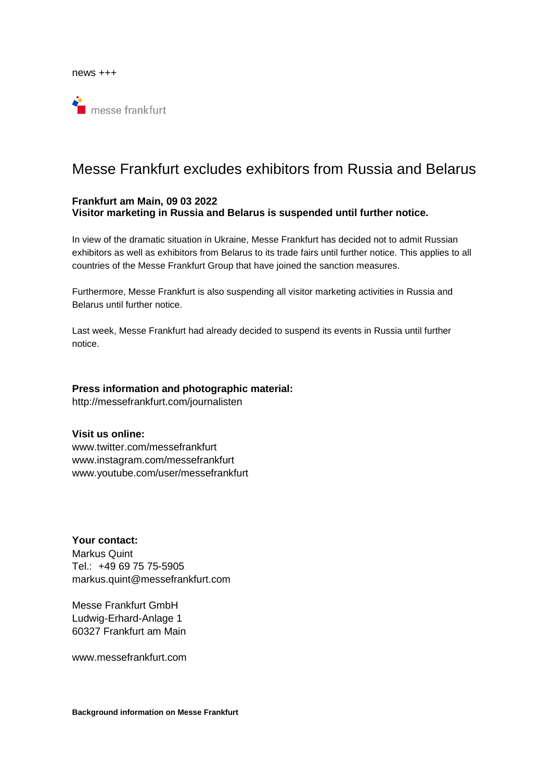

## Messe Frankfurt excludes exhibitors from Russia and Belarus

## **Frankfurt am Main, 09 03 2022 Visitor marketing in Russia and Belarus is suspended until further notice.**

In view of the dramatic situation in Ukraine, Messe Frankfurt has decided not to admit Russian exhibitors as well as exhibitors from Belarus to its trade fairs until further notice. This applies to all countries of the Messe Frankfurt Group that have joined the sanction measures.

Furthermore, Messe Frankfurt is also suspending all visitor marketing activities in Russia and Belarus until further notice.

Last week, Messe Frankfurt had already decided to suspend its events in Russia until further notice.

## **Press information and photographic material:**

http://messefrankfurt.com/journalisten

## **Visit us online:**

www.twitter.com/messefrankfurt www.instagram.com/messefrankfurt www.youtube.com/user/messefrankfurt

**Your contact:**  Markus Quint Tel.: +49 69 75 75-5905 markus.quint@messefrankfurt.com

Messe Frankfurt GmbH Ludwig-Erhard-Anlage 1 60327 Frankfurt am Main

www.messefrankfurt.com